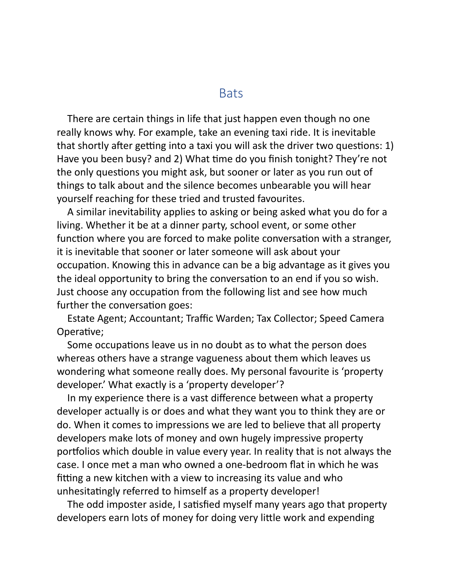## **Bats**

There are certain things in life that just happen even though no one really knows why. For example, take an evening taxi ride. It is inevitable that shortly after getting into a taxi you will ask the driver two questions: 1) Have you been busy? and 2) What time do you finish tonight? They're not the only questions you might ask, but sooner or later as you run out of things to talk about and the silence becomes unbearable you will hear yourself reaching for these tried and trusted favourites.

A similar inevitability applies to asking or being asked what you do for a living. Whether it be at a dinner party, school event, or some other function where you are forced to make polite conversation with a stranger, it is inevitable that sooner or later someone will ask about your occupation. Knowing this in advance can be a big advantage as it gives you the ideal opportunity to bring the conversation to an end if you so wish. Just choose any occupation from the following list and see how much further the conversation goes:

Estate Agent; Accountant; Traffic Warden; Tax Collector; Speed Camera Operative;

Some occupations leave us in no doubt as to what the person does whereas others have a strange vagueness about them which leaves us wondering what someone really does. My personal favourite is 'property developer.' What exactly is a 'property developer'?

In my experience there is a vast difference between what a property developer actually is or does and what they want you to think they are or do. When it comes to impressions we are led to believe that all property developers make lots of money and own hugely impressive property portfolios which double in value every year. In reality that is not always the case. I once met a man who owned a one-bedroom flat in which he was fitting a new kitchen with a view to increasing its value and who unhesitatingly referred to himself as a property developer!

The odd imposter aside, I satisfied myself many years ago that property developers earn lots of money for doing very little work and expending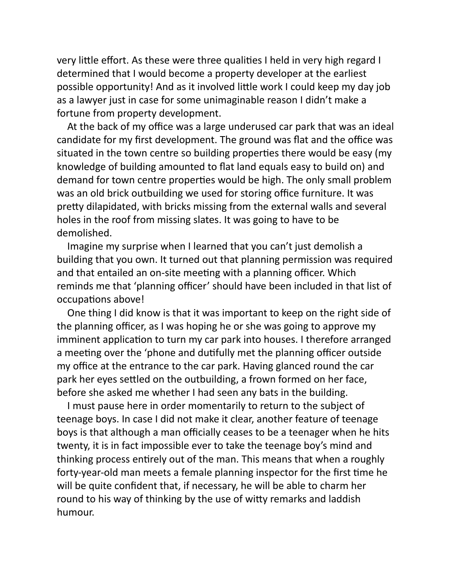very little effort. As these were three qualities I held in very high regard I determined that I would become a property developer at the earliest possible opportunity! And as it involved little work I could keep my day job as a lawyer just in case for some unimaginable reason I didn't make a fortune from property development.

At the back of my office was a large underused car park that was an ideal candidate for my first development. The ground was flat and the office was situated in the town centre so building properties there would be easy (my knowledge of building amounted to flat land equals easy to build on) and demand for town centre properties would be high. The only small problem was an old brick outbuilding we used for storing office furniture. It was pretty dilapidated, with bricks missing from the external walls and several holes in the roof from missing slates. It was going to have to be demolished.

Imagine my surprise when I learned that you can't just demolish a building that you own. It turned out that planning permission was required and that entailed an on-site meeting with a planning officer. Which reminds me that 'planning officer' should have been included in that list of occupations above!

One thing I did know is that it was important to keep on the right side of the planning officer, as I was hoping he or she was going to approve my imminent application to turn my car park into houses. I therefore arranged a meeting over the 'phone and dutifully met the planning officer outside my office at the entrance to the car park. Having glanced round the car park her eyes settled on the outbuilding, a frown formed on her face, before she asked me whether I had seen any bats in the building.

I must pause here in order momentarily to return to the subject of teenage boys. In case I did not make it clear, another feature of teenage boys is that although a man officially ceases to be a teenager when he hits twenty, it is in fact impossible ever to take the teenage boy's mind and thinking process entirely out of the man. This means that when a roughly forty-year-old man meets a female planning inspector for the first time he will be quite confident that, if necessary, he will be able to charm her round to his way of thinking by the use of witty remarks and laddish humour.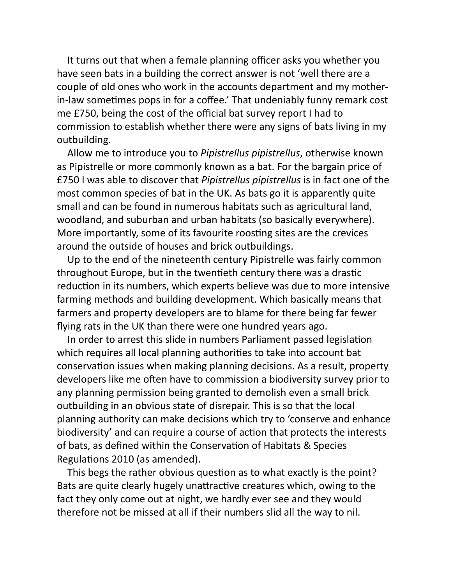It turns out that when a female planning officer asks you whether you have seen bats in a building the correct answer is not 'well there are a couple of old ones who work in the accounts department and my motherin-law sometimes pops in for a coffee.' That undeniably funny remark cost me £750, being the cost of the official bat survey report I had to commission to establish whether there were any signs of bats living in my outbuilding.

Allow me to introduce you to *Pipistrellus pipistrellus*, otherwise known as Pipistrelle or more commonly known as a bat. For the bargain price of £750 I was able to discover that *Pipistrellus pipistrellus* is in fact one of the most common species of bat in the UK. As bats go it is apparently quite small and can be found in numerous habitats such as agricultural land, woodland, and suburban and urban habitats (so basically everywhere). More importantly, some of its favourite roosting sites are the crevices around the outside of houses and brick outbuildings.

Up to the end of the nineteenth century Pipistrelle was fairly common throughout Europe, but in the twentieth century there was a drastic reduction in its numbers, which experts believe was due to more intensive farming methods and building development. Which basically means that farmers and property developers are to blame for there being far fewer flying rats in the UK than there were one hundred years ago.

In order to arrest this slide in numbers Parliament passed legislation which requires all local planning authorities to take into account bat conservation issues when making planning decisions. As a result, property developers like me often have to commission a biodiversity survey prior to any planning permission being granted to demolish even a small brick outbuilding in an obvious state of disrepair. This is so that the local planning authority can make decisions which try to 'conserve and enhance biodiversity' and can require a course of action that protects the interests of bats, as defined within the Conservation of Habitats & Species Regulations 2010 (as amended).

This begs the rather obvious question as to what exactly is the point? Bats are quite clearly hugely unattractive creatures which, owing to the fact they only come out at night, we hardly ever see and they would therefore not be missed at all if their numbers slid all the way to nil.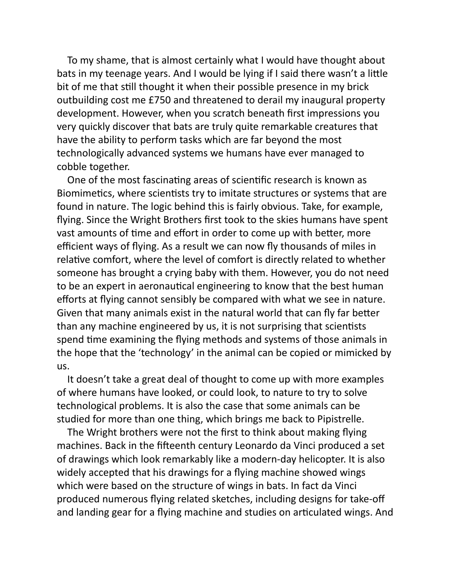To my shame, that is almost certainly what I would have thought about bats in my teenage years. And I would be lying if I said there wasn't a little bit of me that still thought it when their possible presence in my brick outbuilding cost me £750 and threatened to derail my inaugural property development. However, when you scratch beneath first impressions you very quickly discover that bats are truly quite remarkable creatures that have the ability to perform tasks which are far beyond the most technologically advanced systems we humans have ever managed to cobble together.

One of the most fascinating areas of scientific research is known as Biomimetics, where scientists try to imitate structures or systems that are found in nature. The logic behind this is fairly obvious. Take, for example, flying. Since the Wright Brothers first took to the skies humans have spent vast amounts of time and effort in order to come up with better, more efficient ways of flying. As a result we can now fly thousands of miles in relative comfort, where the level of comfort is directly related to whether someone has brought a crying baby with them. However, you do not need to be an expert in aeronautical engineering to know that the best human efforts at flying cannot sensibly be compared with what we see in nature. Given that many animals exist in the natural world that can fly far better than any machine engineered by us, it is not surprising that scientists spend time examining the flying methods and systems of those animals in the hope that the 'technology' in the animal can be copied or mimicked by us.

It doesn't take a great deal of thought to come up with more examples of where humans have looked, or could look, to nature to try to solve technological problems. It is also the case that some animals can be studied for more than one thing, which brings me back to Pipistrelle.

The Wright brothers were not the first to think about making flying machines. Back in the fifteenth century Leonardo da Vinci produced a set of drawings which look remarkably like a modern-day helicopter. It is also widely accepted that his drawings for a flying machine showed wings which were based on the structure of wings in bats. In fact da Vinci produced numerous flying related sketches, including designs for take-off and landing gear for a flying machine and studies on articulated wings. And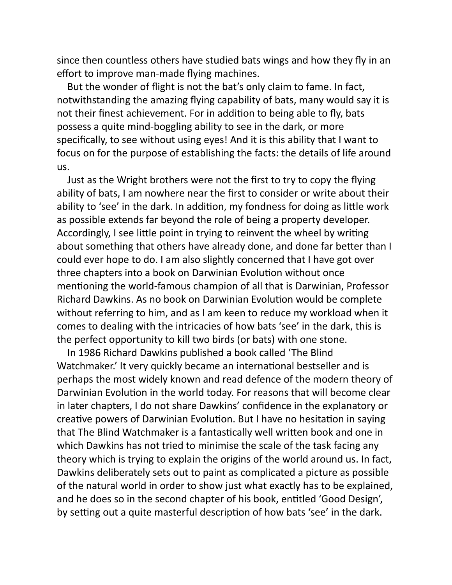since then countless others have studied bats wings and how they fly in an effort to improve man-made flying machines.

But the wonder of flight is not the bat's only claim to fame. In fact, notwithstanding the amazing flying capability of bats, many would say it is not their finest achievement. For in addition to being able to fly, bats possess a quite mind-boggling ability to see in the dark, or more specifically, to see without using eyes! And it is this ability that I want to focus on for the purpose of establishing the facts: the details of life around us.

Just as the Wright brothers were not the first to try to copy the flying ability of bats, I am nowhere near the first to consider or write about their ability to 'see' in the dark. In addition, my fondness for doing as little work as possible extends far beyond the role of being a property developer. Accordingly, I see little point in trying to reinvent the wheel by writing about something that others have already done, and done far better than I could ever hope to do. I am also slightly concerned that I have got over three chapters into a book on Darwinian Evolution without once mentioning the world-famous champion of all that is Darwinian, Professor Richard Dawkins. As no book on Darwinian Evolution would be complete without referring to him, and as I am keen to reduce my workload when it comes to dealing with the intricacies of how bats 'see' in the dark, this is the perfect opportunity to kill two birds (or bats) with one stone.

In 1986 Richard Dawkins published a book called 'The Blind Watchmaker.' It very quickly became an international bestseller and is perhaps the most widely known and read defence of the modern theory of Darwinian Evolution in the world today. For reasons that will become clear in later chapters, I do not share Dawkins' confidence in the explanatory or creative powers of Darwinian Evolution. But I have no hesitation in saying that The Blind Watchmaker is a fantastically well written book and one in which Dawkins has not tried to minimise the scale of the task facing any theory which is trying to explain the origins of the world around us. In fact, Dawkins deliberately sets out to paint as complicated a picture as possible of the natural world in order to show just what exactly has to be explained, and he does so in the second chapter of his book, entitled 'Good Design', by setting out a quite masterful description of how bats 'see' in the dark.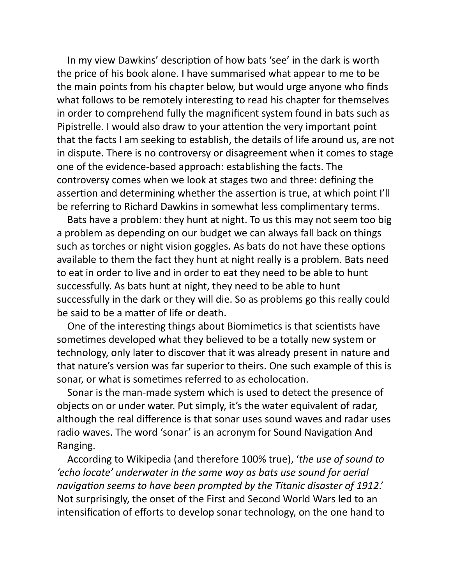In my view Dawkins' description of how bats 'see' in the dark is worth the price of his book alone. I have summarised what appear to me to be the main points from his chapter below, but would urge anyone who finds what follows to be remotely interesting to read his chapter for themselves in order to comprehend fully the magnificent system found in bats such as Pipistrelle. I would also draw to your attention the very important point that the facts I am seeking to establish, the details of life around us, are not in dispute. There is no controversy or disagreement when it comes to stage one of the evidence-based approach: establishing the facts. The controversy comes when we look at stages two and three: defining the assertion and determining whether the assertion is true, at which point I'll be referring to Richard Dawkins in somewhat less complimentary terms.

Bats have a problem: they hunt at night. To us this may not seem too big a problem as depending on our budget we can always fall back on things such as torches or night vision goggles. As bats do not have these options available to them the fact they hunt at night really is a problem. Bats need to eat in order to live and in order to eat they need to be able to hunt successfully. As bats hunt at night, they need to be able to hunt successfully in the dark or they will die. So as problems go this really could be said to be a matter of life or death.

One of the interesting things about Biomimetics is that scientists have sometimes developed what they believed to be a totally new system or technology, only later to discover that it was already present in nature and that nature's version was far superior to theirs. One such example of this is sonar, or what is sometimes referred to as echolocation.

Sonar is the man-made system which is used to detect the presence of objects on or under water. Put simply, it's the water equivalent of radar, although the real difference is that sonar uses sound waves and radar uses radio waves. The word 'sonar' is an acronym for Sound Navigation And Ranging.

According to Wikipedia (and therefore 100% true), '*the use of sound to 'echo locate' underwater in the same way as bats use sound for aerial* navigation seems to have been prompted by the Titanic disaster of 1912.' Not surprisingly, the onset of the First and Second World Wars led to an intensification of efforts to develop sonar technology, on the one hand to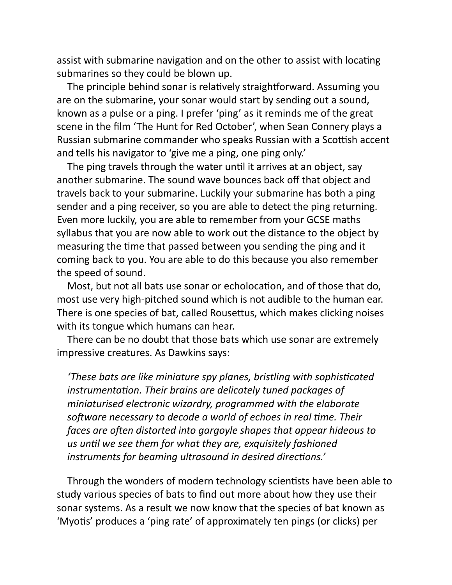assist with submarine navigation and on the other to assist with locating submarines so they could be blown up.

The principle behind sonar is relatively straightforward. Assuming you are on the submarine, your sonar would start by sending out a sound, known as a pulse or a ping. I prefer 'ping' as it reminds me of the great scene in the film 'The Hunt for Red October', when Sean Connery plays a Russian submarine commander who speaks Russian with a Scottish accent and tells his navigator to 'give me a ping, one ping only.'

The ping travels through the water until it arrives at an object, say another submarine. The sound wave bounces back off that object and travels back to your submarine. Luckily your submarine has both a ping sender and a ping receiver, so you are able to detect the ping returning. Even more luckily, you are able to remember from your GCSE maths syllabus that you are now able to work out the distance to the object by measuring the time that passed between you sending the ping and it coming back to you. You are able to do this because you also remember the speed of sound.

Most, but not all bats use sonar or echolocation, and of those that do, most use very high-pitched sound which is not audible to the human ear. There is one species of bat, called Rousettus, which makes clicking noises with its tongue which humans can hear.

There can be no doubt that those bats which use sonar are extremely impressive creatures. As Dawkins says:

*'These bats are like miniature spy planes, bristling with sophiscated instrumentation. Their brains are delicately tuned packages of miniaturised electronic wizardry, programmed with the elaborate* software necessary to decode a world of echoes in real time. Their *faces are often distorted into gargoyle shapes that appear hideous to* us until we see them for what they are, exquisitely fashioned *instruments for beaming ultrasound in desired directions.'* 

Through the wonders of modern technology scientists have been able to study various species of bats to find out more about how they use their sonar systems. As a result we now know that the species of bat known as 'Myotis' produces a 'ping rate' of approximately ten pings (or clicks) per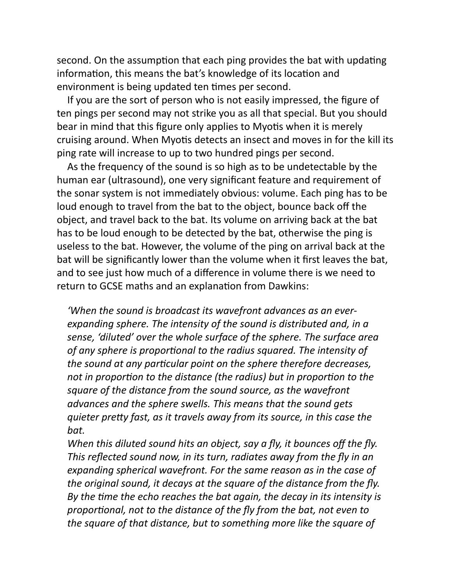second. On the assumption that each ping provides the bat with updating information, this means the bat's knowledge of its location and environment is being updated ten times per second.

If you are the sort of person who is not easily impressed, the figure of ten pings per second may not strike you as all that special. But you should bear in mind that this figure only applies to Myotis when it is merely cruising around. When Myotis detects an insect and moves in for the kill its ping rate will increase to up to two hundred pings per second.

As the frequency of the sound is so high as to be undetectable by the human ear (ultrasound), one very significant feature and requirement of the sonar system is not immediately obvious: volume. Each ping has to be loud enough to travel from the bat to the object, bounce back off the object, and travel back to the bat. Its volume on arriving back at the bat has to be loud enough to be detected by the bat, otherwise the ping is useless to the bat. However, the volume of the ping on arrival back at the bat will be significantly lower than the volume when it first leaves the bat, and to see just how much of a difference in volume there is we need to return to GCSE maths and an explanation from Dawkins:

*'When the sound is broadcast its wavefront advances as an everexpanding sphere. The intensity of the sound is distributed and, in a sense, 'diluted' over the whole surface of the sphere. The surface area* of any sphere is proportional to the radius squared. The intensity of *the sound at any particular point on the sphere therefore decreases, not in proportion to the distance (the radius) but in proportion to the square of the distance from the sound source, as the wavefront advances and the sphere swells. This means that the sound gets quieter pretty fast, as it travels away from its source, in this case the bat.*

*When this diluted sound hits an object, say a fly, it bounces off the fly. This reflected sound now, in its turn, radiates away from the fly in an expanding spherical wavefront. For the same reason as in the case of the original sound, it decays at the square of the distance from the fly. By the me the echo reaches the bat again, the decay in its intensity is proportional, not to the distance of the fly from the bat, not even to the square of that distance, but to something more like the square of*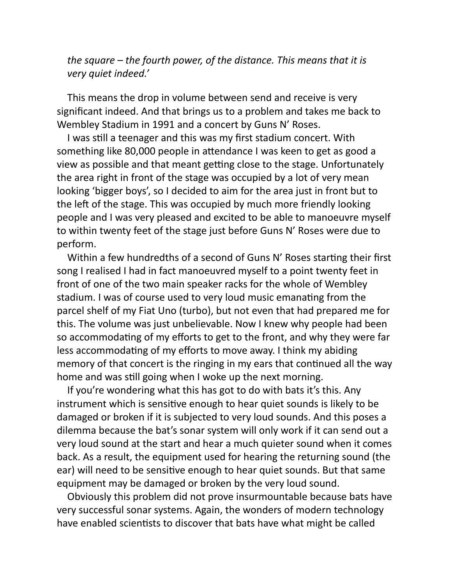*the square – the fourth power, of the distance. This means that it is very quiet indeed.'*

This means the drop in volume between send and receive is very significant indeed. And that brings us to a problem and takes me back to Wembley Stadium in 1991 and a concert by Guns N' Roses.

I was still a teenager and this was my first stadium concert. With something like 80,000 people in attendance I was keen to get as good a view as possible and that meant getting close to the stage. Unfortunately the area right in front of the stage was occupied by a lot of very mean looking 'bigger boys', so I decided to aim for the area just in front but to the left of the stage. This was occupied by much more friendly looking people and I was very pleased and excited to be able to manoeuvre myself to within twenty feet of the stage just before Guns N' Roses were due to perform.

Within a few hundredths of a second of Guns N' Roses starting their first song I realised I had in fact manoeuvred myself to a point twenty feet in front of one of the two main speaker racks for the whole of Wembley stadium. I was of course used to very loud music emanating from the parcel shelf of my Fiat Uno (turbo), but not even that had prepared me for this. The volume was just unbelievable. Now I knew why people had been so accommodating of my efforts to get to the front, and why they were far less accommodating of my efforts to move away. I think my abiding memory of that concert is the ringing in my ears that continued all the way home and was still going when I woke up the next morning.

If you're wondering what this has got to do with bats it's this. Any instrument which is sensitive enough to hear quiet sounds is likely to be damaged or broken if it is subjected to very loud sounds. And this poses a dilemma because the bat's sonar system will only work if it can send out a very loud sound at the start and hear a much quieter sound when it comes back. As a result, the equipment used for hearing the returning sound (the ear) will need to be sensitive enough to hear quiet sounds. But that same equipment may be damaged or broken by the very loud sound.

Obviously this problem did not prove insurmountable because bats have very successful sonar systems. Again, the wonders of modern technology have enabled scientists to discover that bats have what might be called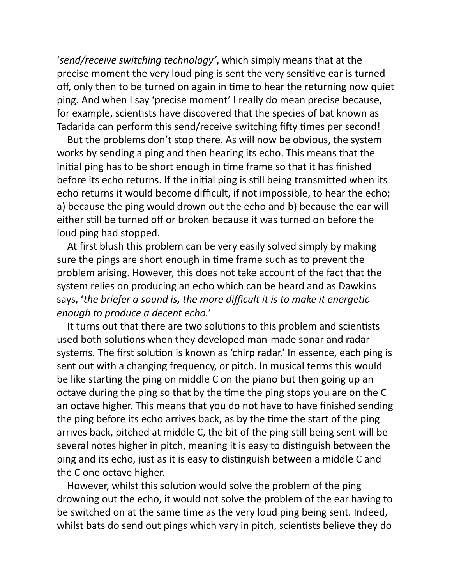'*send/receive switching technology'*, which simply means that at the precise moment the very loud ping is sent the very sensitive ear is turned off, only then to be turned on again in time to hear the returning now quiet ping. And when I say 'precise moment' I really do mean precise because, for example, scientists have discovered that the species of bat known as Tadarida can perform this send/receive switching fifty times per second!

But the problems don't stop there. As will now be obvious, the system works by sending a ping and then hearing its echo. This means that the initial ping has to be short enough in time frame so that it has finished before its echo returns. If the initial ping is still being transmitted when its echo returns it would become difficult, if not impossible, to hear the echo; a) because the ping would drown out the echo and b) because the ear will either still be turned off or broken because it was turned on before the loud ping had stopped.

At first blush this problem can be very easily solved simply by making sure the pings are short enough in time frame such as to prevent the problem arising. However, this does not take account of the fact that the system relies on producing an echo which can be heard and as Dawkins says, 'the briefer a sound is, the more difficult it is to make it energetic *enough to produce a decent echo.*'

It turns out that there are two solutions to this problem and scientists used both solutions when they developed man-made sonar and radar systems. The first solution is known as 'chirp radar.' In essence, each ping is sent out with a changing frequency, or pitch. In musical terms this would be like starting the ping on middle C on the piano but then going up an octave during the ping so that by the time the ping stops you are on the C an octave higher. This means that you do not have to have finished sending the ping before its echo arrives back, as by the time the start of the ping arrives back, pitched at middle C, the bit of the ping still being sent will be several notes higher in pitch, meaning it is easy to distinguish between the ping and its echo, just as it is easy to distinguish between a middle C and the C one octave higher.

However, whilst this solution would solve the problem of the ping drowning out the echo, it would not solve the problem of the ear having to be switched on at the same time as the very loud ping being sent. Indeed, whilst bats do send out pings which vary in pitch, scientists believe they do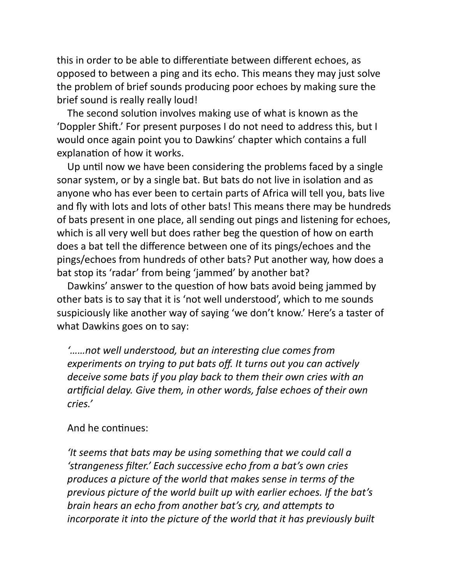this in order to be able to differentiate between different echoes, as opposed to between a ping and its echo. This means they may just solve the problem of brief sounds producing poor echoes by making sure the brief sound is really really loud!

The second solution involves making use of what is known as the 'Doppler Shift.' For present purposes I do not need to address this, but I would once again point you to Dawkins' chapter which contains a full explanation of how it works.

Up until now we have been considering the problems faced by a single sonar system, or by a single bat. But bats do not live in isolation and as anyone who has ever been to certain parts of Africa will tell you, bats live and fly with lots and lots of other bats! This means there may be hundreds of bats present in one place, all sending out pings and listening for echoes, which is all very well but does rather beg the question of how on earth does a bat tell the difference between one of its pings/echoes and the pings/echoes from hundreds of other bats? Put another way, how does a bat stop its 'radar' from being 'jammed' by another bat?

Dawkins' answer to the question of how bats avoid being jammed by other bats is to say that it is 'not well understood', which to me sounds suspiciously like another way of saying 'we don't know.' Here's a taster of what Dawkins goes on to say:

*'……not well understood, but an interesng clue comes from experiments on trying to put bats off. It turns out you can actively deceive some bats if you play back to them their own cries with an arficial delay. Give them, in other words, false echoes of their own cries.'*

## And he continues:

*'It seems that bats may be using something that we could call a 'strangeness filter.' Each successive echo from a bat's own cries produces a picture of the world that makes sense in terms of the previous picture of the world built up with earlier echoes. If the bat's brain hears an echo from another bat's cry, and attempts to incorporate it into the picture of the world that it has previously built*